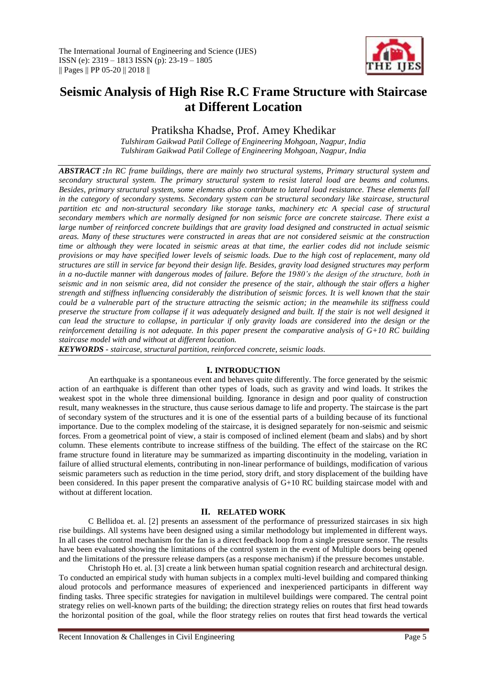

# **Seismic Analysis of High Rise R.C Frame Structure with Staircase at Different Location**

Pratiksha Khadse, Prof. Amey Khedikar

*Tulshiram Gaikwad Patil College of Engineering Mohgoan, Nagpur, India Tulshiram Gaikwad Patil College of Engineering Mohgoan, Nagpur, India*

*ABSTRACT :In RC frame buildings, there are mainly two structural systems, Primary structural system and secondary structural system. The primary structural system to resist lateral load are beams and columns. Besides, primary structural system, some elements also contribute to lateral load resistance. These elements fall in the category of secondary systems. Secondary system can be structural secondary like staircase, structural partition etc and non-structural secondary like storage tanks, machinery etc A special case of structural secondary members which are normally designed for non seismic force are concrete staircase. There exist a large number of reinforced concrete buildings that are gravity load designed and constructed in actual seismic areas. Many of these structures were constructed in areas that are not considered seismic at the construction time or although they were located in seismic areas at that time, the earlier codes did not include seismic provisions or may have specified lower levels of seismic loads. Due to the high cost of replacement, many old structures are still in service far beyond their design life. Besides, gravity load designed structures may perform in a no-ductile manner with dangerous modes of failure. Before the 1980's the design of the structure, both in seismic and in non seismic area, did not consider the presence of the stair, although the stair offers a higher strength and stiffness influencing considerably the distribution of seismic forces. It is well known that the stair could be a vulnerable part of the structure attracting the seismic action; in the meanwhile its stiffness could preserve the structure from collapse if it was adequately designed and built. If the stair is not well designed it can lead the structure to collapse, in particular if only gravity loads are considered into the design or the reinforcement detailing is not adequate. In this paper present the comparative analysis of G+10 RC building staircase model with and without at different location.*

*KEYWORDS - staircase, structural partition, reinforced concrete, seismic loads.* 

# **I. INTRODUCTION**

An earthquake is a spontaneous event and behaves quite differently. The force generated by the seismic action of an earthquake is different than other types of loads, such as gravity and wind loads. It strikes the weakest spot in the whole three dimensional building. Ignorance in design and poor quality of construction result, many weaknesses in the structure, thus cause serious damage to life and property. The staircase is the part of secondary system of the structures and it is one of the essential parts of a building because of its functional importance. Due to the complex modeling of the staircase, it is designed separately for non-seismic and seismic forces. From a geometrical point of view, a stair is composed of inclined element (beam and slabs) and by short column. These elements contribute to increase stiffness of the building. The effect of the staircase on the RC frame structure found in literature may be summarized as imparting discontinuity in the modeling, variation in failure of allied structural elements, contributing in non-linear performance of buildings, modification of various seismic parameters such as reduction in the time period, story drift, and story displacement of the building have been considered. In this paper present the comparative analysis of G+10 RC building staircase model with and without at different location.

# **II. RELATED WORK**

C Bellidoa et. al. [2] presents an assessment of the performance of pressurized staircases in six high rise buildings. All systems have been designed using a similar methodology but implemented in different ways. In all cases the control mechanism for the fan is a direct feedback loop from a single pressure sensor. The results have been evaluated showing the limitations of the control system in the event of Multiple doors being opened and the limitations of the pressure release dampers (as a response mechanism) if the pressure becomes unstable.

Christoph Ho et. al. [3] create a link between human spatial cognition research and architectural design. To conducted an empirical study with human subjects in a complex multi-level building and compared thinking aloud protocols and performance measures of experienced and inexperienced participants in different way finding tasks. Three specific strategies for navigation in multilevel buildings were compared. The central point strategy relies on well-known parts of the building; the direction strategy relies on routes that first head towards the horizontal position of the goal, while the floor strategy relies on routes that first head towards the vertical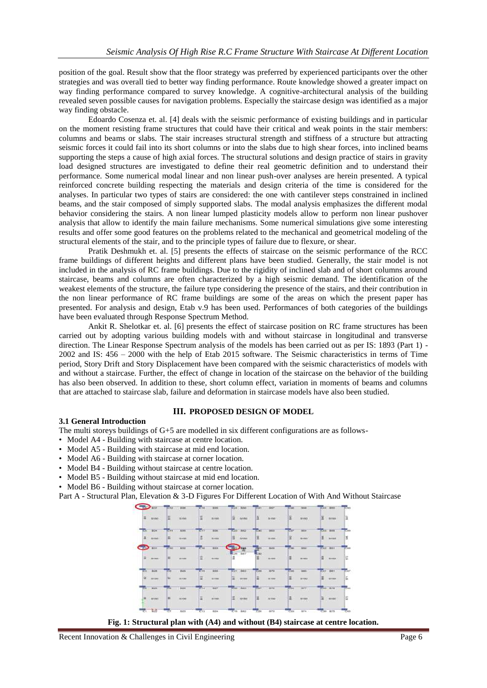position of the goal. Result show that the floor strategy was preferred by experienced participants over the other strategies and was overall tied to better way finding performance. Route knowledge showed a greater impact on way finding performance compared to survey knowledge. A cognitive-architectural analysis of the building revealed seven possible causes for navigation problems. Especially the staircase design was identified as a major way finding obstacle.

Edoardo Cosenza et. al. [4] deals with the seismic performance of existing buildings and in particular on the moment resisting frame structures that could have their critical and weak points in the stair members: columns and beams or slabs. The stair increases structural strength and stiffness of a structure but attracting seismic forces it could fail into its short columns or into the slabs due to high shear forces, into inclined beams supporting the steps a cause of high axial forces. The structural solutions and design practice of stairs in gravity load designed structures are investigated to define their real geometric definition and to understand their performance. Some numerical modal linear and non linear push-over analyses are herein presented. A typical reinforced concrete building respecting the materials and design criteria of the time is considered for the analyses. In particular two types of stairs are considered: the one with cantilever steps constrained in inclined beams, and the stair composed of simply supported slabs. The modal analysis emphasizes the different modal behavior considering the stairs. A non linear lumped plasticity models allow to perform non linear pushover analysis that allow to identify the main failure mechanisms. Some numerical simulations give some interesting results and offer some good features on the problems related to the mechanical and geometrical modeling of the structural elements of the stair, and to the principle types of failure due to flexure, or shear.

Pratik Deshmukh et. al. [5] presents the effects of staircase on the seismic performance of the RCC frame buildings of different heights and different plans have been studied. Generally, the stair model is not included in the analysis of RC frame buildings. Due to the rigidity of inclined slab and of short columns around staircase, beams and columns are often characterized by a high seismic demand. The identification of the weakest elements of the structure, the failure type considering the presence of the stairs, and their contribution in the non linear performance of RC frame buildings are some of the areas on which the present paper has presented. For analysis and design, Etab v.9 has been used. Performances of both categories of the buildings have been evaluated through Response Spectrum Method.

Ankit R. Shelotkar et. al. [6] presents the effect of staircase position on RC frame structures has been carried out by adopting various building models with and without staircase in longitudinal and transverse direction. The Linear Response Spectrum analysis of the models has been carried out as per IS: 1893 (Part 1) - 2002 and IS: 456 – 2000 with the help of Etab 2015 software. The Seismic characteristics in terms of Time period, Story Drift and Story Displacement have been compared with the seismic characteristics of models with and without a staircase. Further, the effect of change in location of the staircase on the behavior of the building has also been observed. In addition to these, short column effect, variation in moments of beams and columns that are attached to staircase slab, failure and deformation in staircase models have also been studied.

### **3.1 General Introduction**

### **III. PROPOSED DESIGN OF MODEL**

The multi storeys buildings of G+5 are modelled in six different configurations are as follows-

- Model A4 Building with staircase at centre location.
- Model A5 Building with staircase at mid end location.
- Model A6 Building with staircase at corner location.
- Model B4 Building without staircase at centre location.
- Model B5 Building without staircase at mid end location.
- Model B6 Building without staircase at corner location.

Part A - Structural Plan, Elevation & 3-D Figures For Different Location of With And Without Staircase



**Fig. 1: Structural plan with (A4) and without (B4) staircase at centre location.**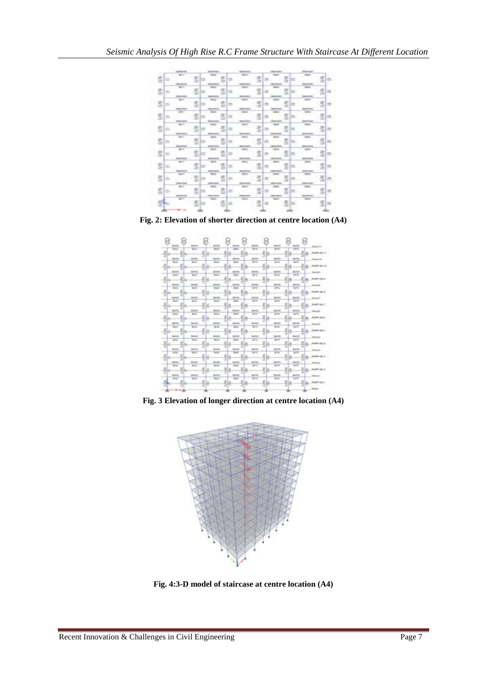

**Fig. 2: Elevation of shorter direction at centre location (A4)**



**Fig. 3 Elevation of longer direction at centre location (A4)**



**Fig. 4:3-D model of staircase at centre location (A4)**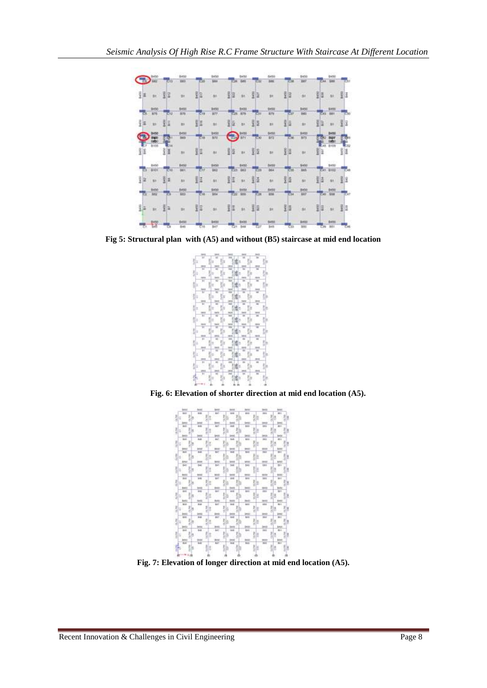

**Fig 5: Structural plan with (A5) and without (B5) staircase at mid end location**



**Fig. 6: Elevation of shorter direction at mid end location (A5).**



**Fig. 7: Elevation of longer direction at mid end location (A5).**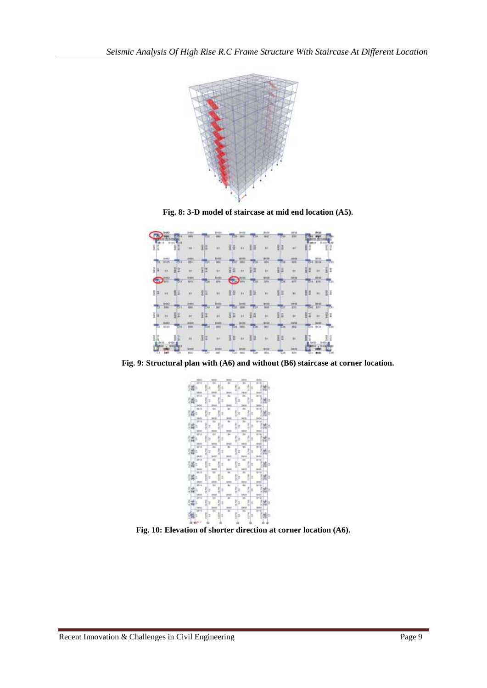

**Fig. 8: 3-D model of staircase at mid end location (A5).**

|   |                |         |                       |        | 8820                        |    |                            |           | 3456                    |        | ieenn                    |             |                      |  |
|---|----------------|---------|-----------------------|--------|-----------------------------|----|----------------------------|-----------|-------------------------|--------|--------------------------|-------------|----------------------|--|
|   | <b>Fall</b> in | one Res |                       |        | m<br><b>STIL</b>            |    |                            | Tэ        | in.                     | 540    | <b>BRE</b>               | 8610        |                      |  |
| H |                |         | ar.                   |        | ať,                         | 甜  | $-41$                      |           | $-341$                  | 墥      | ü                        |             | ig.<br>s             |  |
|   | <b>DISK</b>    | m       | 12.0<br>inso)<br>in i |        | $1 - 17$<br>뺉               |    | 14400                      | m         | (\$45.00)<br><b>Win</b> |        | iarris<br>W              |             | <b>Atto</b>          |  |
| š | u,             | 5<br>÷  | in r                  | ŧ<br>E | u.                          | š  | H.                         | 揖<br>Ξ    | 1 Miles                 | H<br>E | <b>Kin</b>               | ψ.<br>ŧ     | 퀽토<br>$\mathbf{m}$   |  |
|   | QJ.            | сu      | 888<br><b>GETT</b>    |        | <b>SARIE</b><br>3214        | -  | (88.032<br><b>Futte</b>    | ĒП        | 3414<br><b>BTB</b>      | $-1$   | 8498<br><b>BTT</b>       | 044         | \$110<br><b>ATTE</b> |  |
|   | W)             | 脂       | ä                     | 图面     | IFE                         |    | 图                          | <b>IE</b> | W.                      | U)     | ×<br>m                   | B           | 斟<br>$\overline{a}$  |  |
|   | <b>DRI</b>     |         | <b>DERTS</b><br>ïй    | m      | <b>HASE</b><br><b>Jan't</b> |    | <b>MASS</b><br><b>WHEN</b> | mп        | 38898<br>m              |        | <b><i>lates</i></b><br>m | <b>A</b>    | 8448<br><b>BET</b>   |  |
| š | :it            | š       | àt.                   | 圧<br>Ī | <b>MAT</b>                  | E  | 88                         | u         | $+1$                    | 5<br>s | $^{16}$                  |             | 휯<br>m               |  |
|   | 8133           | दार     | -<br><b>TOM</b>       | mп     | <b>FARDS</b><br><b>INEL</b> | ਨਮ | 184,98<br>--               | œ         | 3818<br><b>Mill</b>     | -      | 8111<br><b>Bid</b>       | <b>POST</b> | 0104                 |  |
|   |                |         | à.                    | 保田     | m                           | 厝  |                            | F.        | $^{**}$                 |        |                          |             | E                    |  |
|   | <b>Dat't</b>   | 0418    | <b>KING</b>           |        | 8910<br><b>TOUR</b>         | ĒП | 198.00<br>Witz             |           | 3416<br><b>B</b> ig     |        | <b>akts</b><br><b>A</b>  |             | <b>BERG</b>          |  |

**Fig. 9: Structural plan with (A6) and without (B6) staircase at corner location.**



**Fig. 10: Elevation of shorter direction at corner location (A6).**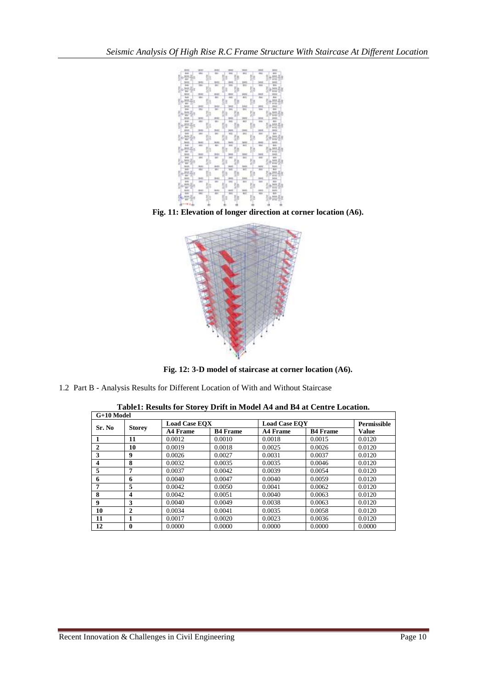

**Fig. 11: Elevation of longer direction at corner location (A6).**



**Fig. 12: 3-D model of staircase at corner location (A6).**

1.2 Part B - Analysis Results for Different Location of With and Without Staircase

| Table1: Results for Storey Drift in Model A4 and B4 at Centre Location. |  |
|-------------------------------------------------------------------------|--|
|-------------------------------------------------------------------------|--|

| $G+10$ Model |               |                      |                 |                 |                      |        |  |
|--------------|---------------|----------------------|-----------------|-----------------|----------------------|--------|--|
| Sr. No.      |               | <b>Load Case EOX</b> |                 |                 | <b>Load Case EOY</b> |        |  |
|              | <b>Storey</b> | <b>A4 Frame</b>      | <b>B4 Frame</b> | <b>A4 Frame</b> | <b>B4 Frame</b>      | Value  |  |
|              | 11            | 0.0012               | 0.0010          | 0.0018          | 0.0015               | 0.0120 |  |
| $\mathbf{2}$ | 10            | 0.0019               | 0.0018          | 0.0025          | 0.0026               | 0.0120 |  |
| 3            | 9             | 0.0026               | 0.0027          | 0.0031          | 0.0037               | 0.0120 |  |
| 4            | 8             | 0.0032               | 0.0035          | 0.0035          | 0.0046               | 0.0120 |  |
| 5            | 7             | 0.0037               | 0.0042          | 0.0039          | 0.0054               | 0.0120 |  |
| 6            | 6             | 0.0040               | 0.0047          | 0.0040          | 0.0059               | 0.0120 |  |
| 7            | 5             | 0.0042               | 0.0050          | 0.0041          | 0.0062               | 0.0120 |  |
| 8            | 4             | 0.0042               | 0.0051          | 0.0040          | 0.0063               | 0.0120 |  |
| 9            | 3             | 0.0040               | 0.0049          | 0.0038          | 0.0063               | 0.0120 |  |
| 10           | 2             | 0.0034               | 0.0041          | 0.0035          | 0.0058               | 0.0120 |  |
| 11           | 1             | 0.0017               | 0.0020          | 0.0023          | 0.0036               | 0.0120 |  |
| 12           | 0             | 0.0000               | 0.0000          | 0.0000          | 0.0000               | 0.0000 |  |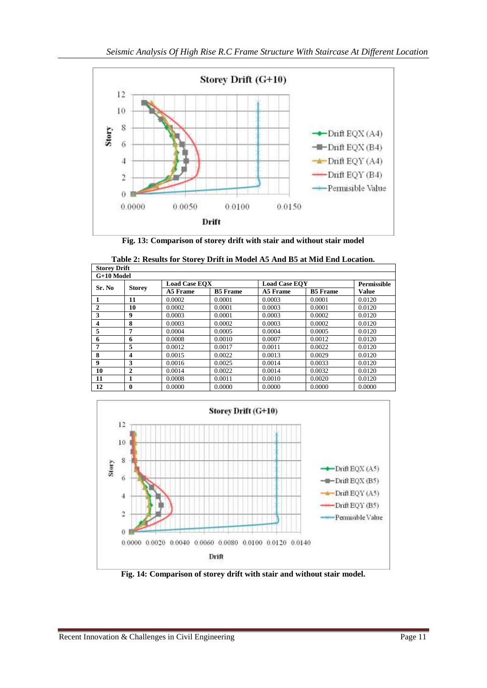

**Fig. 13: Comparison of storey drift with stair and without stair model**

**Table 2: Results for Storey Drift in Model A5 And B5 at Mid End Location.**

| <b>Storey Drift</b> |                         |                      |                 |                      |                 |                    |  |  |
|---------------------|-------------------------|----------------------|-----------------|----------------------|-----------------|--------------------|--|--|
|                     | G+10 Model              |                      |                 |                      |                 |                    |  |  |
| Sr. No              | <b>Storey</b>           | <b>Load Case EOX</b> |                 | <b>Load Case EOY</b> |                 | <b>Permissible</b> |  |  |
|                     |                         | A5 Frame             | <b>B5</b> Frame | A5 Frame             | <b>B5</b> Frame | <b>Value</b>       |  |  |
|                     | 11                      | 0.0002               | 0.0001          | 0.0003               | 0.0001          | 0.0120             |  |  |
| $\mathbf{2}$        | 10                      | 0.0002               | 0.0001          | 0.0003               | 0.0001          | 0.0120             |  |  |
| 3                   | 9                       | 0.0003               | 0.0001          | 0.0003               | 0.0002          | 0.0120             |  |  |
| $\boldsymbol{4}$    | 8                       | 0.0003               | 0.0002          | 0.0003               | 0.0002          | 0.0120             |  |  |
| 5                   | 7                       | 0.0004               | 0.0005          | 0.0004               | 0.0005          | 0.0120             |  |  |
| 6                   | 6                       | 0.0008               | 0.0010          | 0.0007               | 0.0012          | 0.0120             |  |  |
| 7                   | 5                       | 0.0012               | 0.0017          | 0.0011               | 0.0022          | 0.0120             |  |  |
| 8                   | $\overline{\mathbf{4}}$ | 0.0015               | 0.0022          | 0.0013               | 0.0029          | 0.0120             |  |  |
| 9                   | 3                       | 0.0016               | 0.0025          | 0.0014               | 0.0033          | 0.0120             |  |  |
| 10                  | $\mathbf{2}$            | 0.0014               | 0.0022          | 0.0014               | 0.0032          | 0.0120             |  |  |
| 11                  | 1                       | 0.0008               | 0.0011          | 0.0010               | 0.0020          | 0.0120             |  |  |
| 12                  | 0                       | 0.0000               | 0.0000          | 0.0000               | 0.0000          | 0.0000             |  |  |



**Fig. 14: Comparison of storey drift with stair and without stair model.**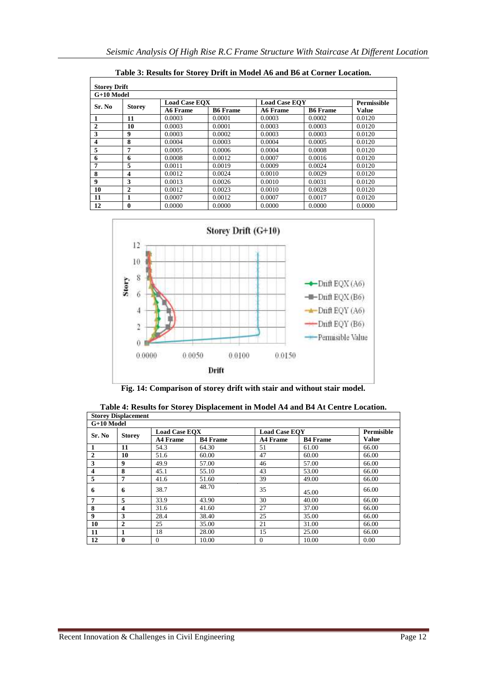| <b>Storey Drift</b> |               |                      |                 |                      |                 |                    |  |  |
|---------------------|---------------|----------------------|-----------------|----------------------|-----------------|--------------------|--|--|
|                     | $G+10$ Model  |                      |                 |                      |                 |                    |  |  |
| Sr. No              |               | <b>Load Case EOX</b> |                 | <b>Load Case EOY</b> |                 | <b>Permissible</b> |  |  |
|                     | <b>Storey</b> | A6 Frame             | <b>B6 Frame</b> | A6 Frame             | <b>B6 Frame</b> | Value              |  |  |
| 1                   | 11            | 0.0003               | 0.0001          | 0.0003               | 0.0002          | 0.0120             |  |  |
| $\mathbf{2}$        | 10            | 0.0003               | 0.0001          | 0.0003               | 0.0003          | 0.0120             |  |  |
| 3                   | 9             | 0.0003               | 0.0002          | 0.0003               | 0.0003          | 0.0120             |  |  |
| 4                   | 8             | 0.0004               | 0.0003          | 0.0004               | 0.0005          | 0.0120             |  |  |
| 5                   | 7             | 0.0005               | 0.0006          | 0.0004               | 0.0008          | 0.0120             |  |  |
| 6                   | 6             | 0.0008               | 0.0012          | 0.0007               | 0.0016          | 0.0120             |  |  |
| 7                   | 5             | 0.0011               | 0.0019          | 0.0009               | 0.0024          | 0.0120             |  |  |
| 8                   | 4             | 0.0012               | 0.0024          | 0.0010               | 0.0029          | 0.0120             |  |  |
| 9                   | 3             | 0.0013               | 0.0026          | 0.0010               | 0.0031          | 0.0120             |  |  |
| 10                  | 2             | 0.0012               | 0.0023          | 0.0010               | 0.0028          | 0.0120             |  |  |
| 11                  | 1             | 0.0007               | 0.0012          | 0.0007               | 0.0017          | 0.0120             |  |  |
| 12                  | 0             | 0.0000               | 0.0000          | 0.0000               | 0.0000          | 0.0000             |  |  |

**Table 3: Results for Storey Drift in Model A6 and B6 at Corner Location.**



**Fig. 14: Comparison of storey drift with stair and without stair model.**

|                | <b>Storey Displacement</b> |                      |                 |                      |                 |              |
|----------------|----------------------------|----------------------|-----------------|----------------------|-----------------|--------------|
| G+10 Model     |                            |                      |                 |                      |                 |              |
|                |                            | <b>Load Case EOX</b> |                 | <b>Load Case EOY</b> |                 | Permisible   |
| Sr. No         | <b>Storey</b>              | <b>A4 Frame</b>      | <b>B4 Frame</b> | <b>A4 Frame</b>      | <b>B4 Frame</b> | <b>Value</b> |
|                | 11                         | 54.3                 | 64.30           | 51                   | 61.00           | 66.00        |
| $\mathbf{2}$   | 10                         | 51.6                 | 60.00           | 47                   | 60.00           | 66.00        |
| 3              | 9                          | 49.9                 | 57.00           | 46                   | 57.00           | 66.00        |
| 4              | 8                          | 45.1                 | 55.10           | 43                   | 53.00           | 66.00        |
| 5              | 7                          | 41.6                 | 51.60           | 39                   | 49.00           | 66.00        |
| 6              | 6                          | 38.7                 | 48.70           | 35                   | 45.00           | 66.00        |
| $\overline{7}$ | 5                          | 33.9                 | 43.90           | 30                   | 40.00           | 66.00        |
| 8              | 4                          | 31.6                 | 41.60           | 27                   | 37.00           | 66.00        |
| 9              | 3                          | 28.4                 | 38.40           | 25                   | 35.00           | 66.00        |
| 10             | $\mathbf{2}$               | 25                   | 35.00           | 21                   | 31.00           | 66.00        |
| 11             | 1                          | 18                   | 28.00           | 15                   | 25.00           | 66.00        |
| 12             | $\mathbf{0}$               | $\mathbf{0}$         | 10.00           | $\overline{0}$       | 10.00           | 0.00         |

**Table 4: Results for Storey Displacement in Model A4 and B4 At Centre Location.**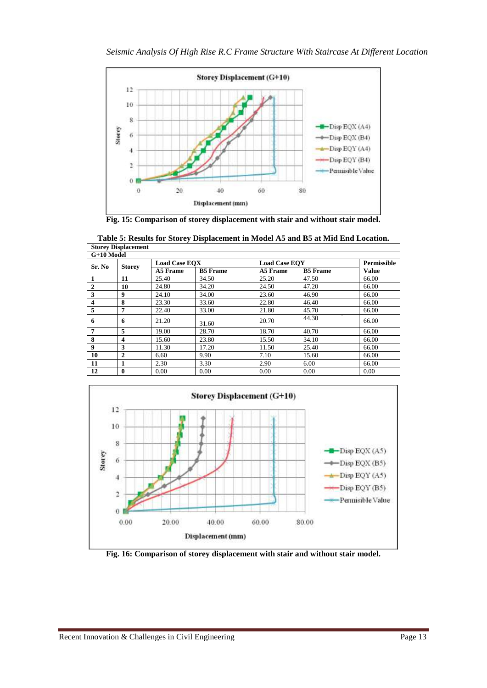

**Fig. 15: Comparison of storey displacement with stair and without stair model.**

|              | <b>Storey Displacement</b> |                      |                 |                      |                 |                    |  |
|--------------|----------------------------|----------------------|-----------------|----------------------|-----------------|--------------------|--|
|              | $G+10$ Model               |                      |                 |                      |                 |                    |  |
|              |                            | <b>Load Case EOX</b> |                 | <b>Load Case EOY</b> |                 | <b>Permissible</b> |  |
| Sr. No       | <b>Storey</b>              | A5 Frame             | <b>B5</b> Frame | A5 Frame             | <b>B5</b> Frame | <b>Value</b>       |  |
|              | 11                         | 25.40                | 34.50           | 25.20                | 47.50           | 66.00              |  |
| $\mathbf{2}$ | 10                         | 24.80                | 34.20           | 24.50                | 47.20           | 66.00              |  |
| 3            | 9                          | 24.10                | 34.00           | 23.60                | 46.90           | 66.00              |  |
| 4            | 8                          | 23.30                | 33.60           | 22.80                | 46.40           | 66.00              |  |
| 5            | 7                          | 22.40                | 33.00           | 21.80                | 45.70           | 66.00              |  |
| 6            | 6                          | 21.20                | 31.60           | 20.70                | 44.30           | 66.00              |  |
| 7            | 5                          | 19.00                | 28.70           | 18.70                | 40.70           | 66.00              |  |
| 8            | 4                          | 15.60                | 23.80           | 15.50                | 34.10           | 66.00              |  |
| 9            | 3                          | 11.30                | 17.20           | 11.50                | 25.40           | 66.00              |  |
| 10           | $\mathbf{2}$               | 6.60                 | 9.90            | 7.10                 | 15.60           | 66.00              |  |
| 11           | 1                          | 2.30                 | 3.30            | 2.90                 | 6.00            | 66.00              |  |
| 12           | $\bf{0}$                   | 0.00                 | 0.00            | 0.00                 | 0.00            | 0.00               |  |

**Table 5: Results for Storey Displacement in Model A5 and B5 at Mid End Location. Storey Displacement**



**Fig. 16: Comparison of storey displacement with stair and without stair model.**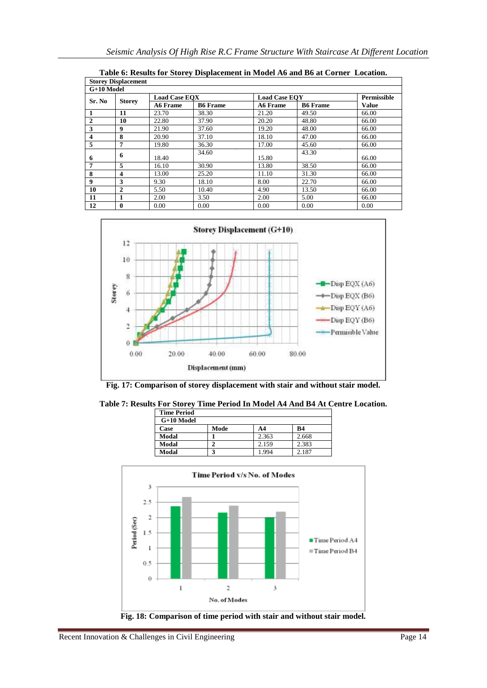|              | <b>Storey Displacement</b> |                      |                 |                      |                 |                    |  |
|--------------|----------------------------|----------------------|-----------------|----------------------|-----------------|--------------------|--|
| G+10 Model   |                            |                      |                 |                      |                 |                    |  |
|              |                            | <b>Load Case EOX</b> |                 | <b>Load Case EOY</b> |                 | <b>Permissible</b> |  |
| Sr. No       | <b>Storey</b>              | <b>A6 Frame</b>      | <b>B6</b> Frame | <b>A6 Frame</b>      | <b>B6</b> Frame | <b>Value</b>       |  |
|              | 11                         | 23.70                | 38.30           | 21.20                | 49.50           | 66.00              |  |
| $\mathbf{2}$ | 10                         | 22.80                | 37.90           | 20.20                | 48.80           | 66.00              |  |
| 3            | 9                          | 21.90                | 37.60           | 19.20                | 48.00           | 66.00              |  |
| 4            | 8                          | 20.90                | 37.10           | 18.10                | 47.00           | 66.00              |  |
| 5            | 7                          | 19.80                | 36.30           | 17.00                | 45.60           | 66.00              |  |
| 6            | 6                          | 18.40                | 34.60           | 15.80                | 43.30           | 66.00              |  |
| 7            | 5                          | 16.10                | 30.90           | 13.80                | 38.50           | 66.00              |  |
| 8            | 4                          | 13.00                | 25.20           | 11.10                | 31.30           | 66.00              |  |
| 9            | 3                          | 9.30                 | 18.10           | 8.00                 | 22.70           | 66.00              |  |
| 10           | $\mathbf{2}$               | 5.50                 | 10.40           | 4.90                 | 13.50           | 66.00              |  |
| 11           |                            | 2.00                 | 3.50            | 2.00                 | 5.00            | 66.00              |  |
| 12           | 0                          | 0.00                 | 0.00            | 0.00                 | 0.00            | 0.00               |  |

**Table 6: Results for Storey Displacement in Model A6 and B6 at Corner Location.**





**Table 7: Results For Storey Time Period In Model A4 And B4 At Centre Location.**

| <b>Time Period</b> |      |       |       |
|--------------------|------|-------|-------|
| $G+10$ Model       |      |       |       |
| Case               | Mode | A4    | B4    |
| Modal              |      | 2.363 | 2.668 |
| Modal              |      | 2.159 | 2.383 |
| Modal              |      | 1.994 | 2.187 |
|                    |      |       |       |

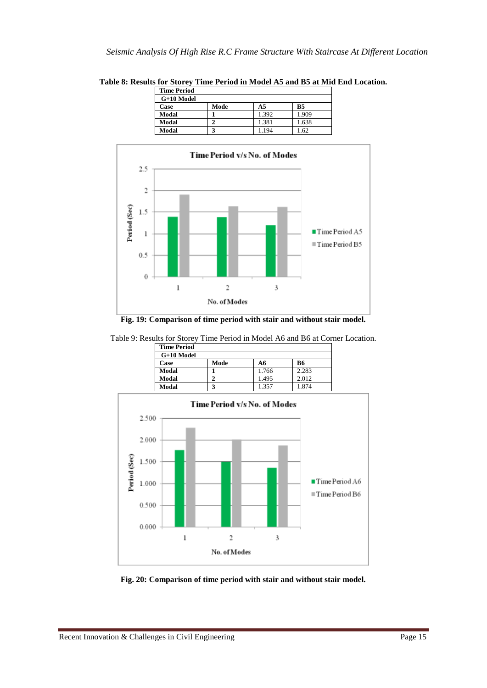**Table 8: Results for Storey Time Period in Model A5 and B5 at Mid End Location. Time Period G+10 Model Case Mode A5 B5 Modal** 1 1.392 1.909 **Modal 2** 1.381 1.638<br>**Modal 3** 1.194 1.62

**Modal 3** 1.194 1.62



**Fig. 19: Comparison of time period with stair and without stair model.**

Table 9: Results for Storey Time Period in Model A6 and B6 at Corner Location.

| <b>Time Period</b> |      |       |       |
|--------------------|------|-------|-------|
| $G+10$ Model       |      |       |       |
| Case               | Mode | A6    | В6    |
| Modal              |      | 1.766 | 2.283 |
| Modal              |      | 1.495 | 2.012 |
| Modal              |      | -357  | 1 874 |



**Fig. 20: Comparison of time period with stair and without stair model.**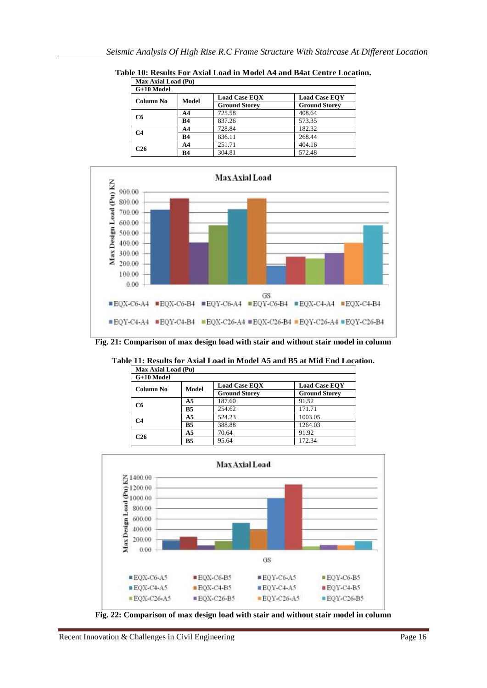| <b>Max Axial Load (Pu)</b> |           |                      |                      |  |  |  |
|----------------------------|-----------|----------------------|----------------------|--|--|--|
| $G+10$ Model               |           |                      |                      |  |  |  |
| Column No                  |           | <b>Load Case EOX</b> | <b>Load Case EOY</b> |  |  |  |
|                            | Model     | <b>Ground Storey</b> | <b>Ground Storey</b> |  |  |  |
|                            | A4        | 725.58               | 408.64               |  |  |  |
| C <sub>6</sub>             | <b>B4</b> | 837.26               | 573.35               |  |  |  |
| C4                         | A4        | 728.84               | 182.32               |  |  |  |
|                            | <b>B4</b> | 836.11               | 268.44               |  |  |  |
| C26                        | A4        | 251.71               | 404.16               |  |  |  |
|                            | <b>B4</b> | 304.81               | 572.48               |  |  |  |

**Table 10: Results For Axial Load in Model A4 and B4at Centre Location.**



**Fig. 21: Comparison of max design load with stair and without stair model in column**

| Max Axial Load (Pu) |                |                      |                                              |  |  |  |
|---------------------|----------------|----------------------|----------------------------------------------|--|--|--|
| G+10 Model          |                |                      |                                              |  |  |  |
| Column No           | Model          | <b>Load Case EOX</b> | <b>Load Case EOY</b><br><b>Ground Storey</b> |  |  |  |
|                     |                | <b>Ground Storey</b> |                                              |  |  |  |
| C6                  | A5             | 187.60               | 91.52                                        |  |  |  |
|                     | <b>B5</b>      | 254.62               | 171.71                                       |  |  |  |
| C4                  | A <sub>5</sub> | 524.23               | 1003.05                                      |  |  |  |
|                     | <b>B5</b>      | 388.88               | 1264.03                                      |  |  |  |
| C26                 | A5             | 70.64                | 91.92                                        |  |  |  |
|                     | <b>B5</b>      | 95.64                | 172.34                                       |  |  |  |

**Table 11: Results for Axial Load in Model A5 and B5 at Mid End Location.**



**Fig. 22: Comparison of max design load with stair and without stair model in column**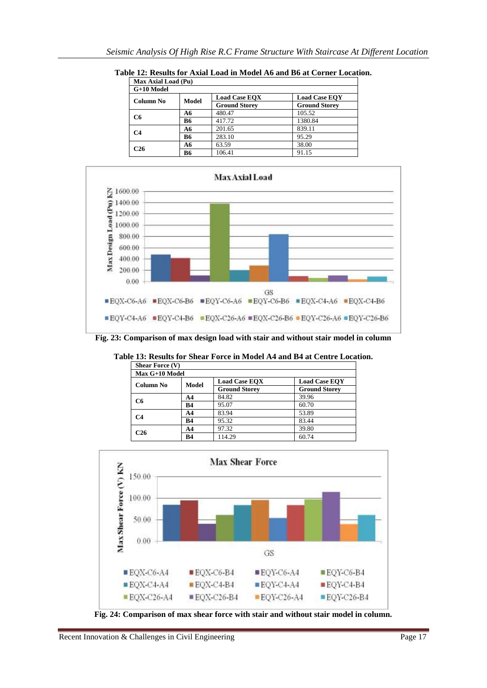| Max Axial Load (Pu) |           |                      |                      |  |
|---------------------|-----------|----------------------|----------------------|--|
| G+10 Model          |           |                      |                      |  |
| Column No           | Model     | <b>Load Case EOX</b> | <b>Load Case EOY</b> |  |
|                     |           | <b>Ground Storey</b> | <b>Ground Storey</b> |  |
| C6                  | A6        | 480.47               | 105.52               |  |
|                     | <b>B6</b> | 417.72               | 1380.84              |  |
| C4                  | A6        | 201.65               | 839.11               |  |
|                     | <b>B6</b> | 283.10               | 95.29                |  |
| C26                 | A6        | 63.59                | 38.00                |  |
|                     | В6        | 106.41               | 91.15                |  |

**Table 12: Results for Axial Load in Model A6 and B6 at Corner Location.**



**Fig. 23: Comparison of max design load with stair and without stair model in column**

**Table 13: Results for Shear Force in Model A4 and B4 at Centre Location.**

| <b>Shear Force (V)</b> |                |                      |                      |  |
|------------------------|----------------|----------------------|----------------------|--|
|                        | Max G+10 Model |                      |                      |  |
| Column No              | Model          | <b>Load Case EOX</b> | <b>Load Case EOY</b> |  |
|                        |                | <b>Ground Storey</b> | <b>Ground Storey</b> |  |
| C6                     | A4             | 84.82                | 39.96                |  |
|                        | B4             | 95.07                | 60.70                |  |
| C4                     | A4             | 83.94                | 53.89                |  |
|                        | <b>B4</b>      | 95.32                | 83.44                |  |
| C26                    | A4             | 97.32                | 39.80                |  |
|                        | <b>B4</b>      | 114.29               | 60.74                |  |



**Fig. 24: Comparison of max shear force with stair and without stair model in column.**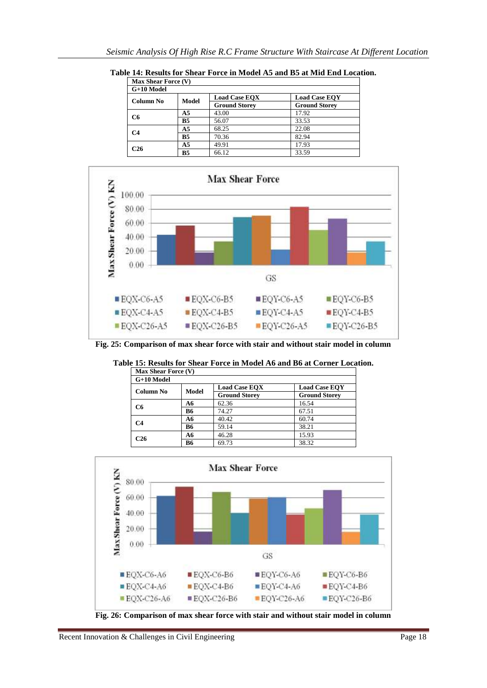| <b>Max Shear Force (V)</b> |                |                      |                      |  |
|----------------------------|----------------|----------------------|----------------------|--|
| $G+10$ Model               |                |                      |                      |  |
| Column No                  | <b>Model</b>   | <b>Load Case EOX</b> | <b>Load Case EOY</b> |  |
|                            |                | <b>Ground Storey</b> | <b>Ground Storey</b> |  |
| C <sub>6</sub>             | A <sub>5</sub> | 43.00                | 17.92                |  |
|                            | <b>B5</b>      | 56.07                | 33.53                |  |
| C4                         | A <sub>5</sub> | 68.25                | 22.08                |  |
|                            | <b>B5</b>      | 70.36                | 82.94                |  |
| C26                        | A <sub>5</sub> | 49.91                | 17.93                |  |
|                            | <b>B5</b>      | 66.12                | 33.59                |  |

**Table 14: Results for Shear Force in Model A5 and B5 at Mid End Location.**



**Fig. 25: Comparison of max shear force with stair and without stair model in column**

| Max Shear Force (V)<br>G+10 Model |                      |       |       |
|-----------------------------------|----------------------|-------|-------|
|                                   |                      |       |       |
| <b>Ground Storey</b>              | <b>Ground Storey</b> |       |       |
| C6                                | A6                   | 62.36 | 16.54 |
|                                   | <b>B6</b>            | 74.27 | 67.51 |
| C4                                | A6                   | 40.42 | 60.74 |
|                                   | <b>B6</b>            | 59.14 | 38.21 |
| C26                               | A6                   | 46.28 | 15.93 |
|                                   | B6                   | 69.73 | 38.32 |

**Table 15: Results for Shear Force in Model A6 and B6 at Corner Location.**



**Fig. 26: Comparison of max shear force with stair and without stair model in column**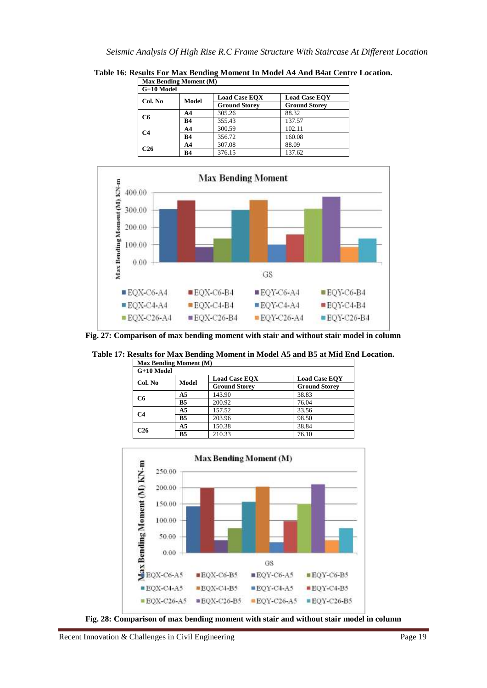| <b>Max Bending Moment (M)</b> |           |                      |                      |
|-------------------------------|-----------|----------------------|----------------------|
| $G+10$ Model                  |           |                      |                      |
| Col. No                       | Model     | <b>Load Case EOX</b> | <b>Load Case EOY</b> |
|                               |           | <b>Ground Storey</b> | <b>Ground Storey</b> |
| C6                            | AA        | 305.26               | 88.32                |
|                               | <b>B4</b> | 355.43               | 137.57               |
| C <sub>4</sub>                | AA        | 300.59               | 102.11               |
|                               | <b>B4</b> | 356.72               | 160.08               |
| C26                           | AA        | 307.08               | 88.09                |
|                               | <b>B4</b> | 376.15               | 137.62               |

**Table 16: Results For Max Bending Moment In Model A4 And B4at Centre Location.**



**Fig. 27: Comparison of max bending moment with stair and without stair model in column**

**Table 17: Results for Max Bending Moment in Model A5 and B5 at Mid End Location.**

| <b>Max Bending Moment (M)</b><br>G+10 Model |                      |                      |       |
|---------------------------------------------|----------------------|----------------------|-------|
|                                             |                      |                      |       |
|                                             | <b>Ground Storey</b> | <b>Ground Storey</b> |       |
| C <sub>6</sub>                              | A <sub>5</sub>       | 143.90               | 38.83 |
|                                             | B <sub>5</sub>       | 200.92               | 76.04 |
| C4                                          | A <sub>5</sub>       | 157.52               | 33.56 |
|                                             | B <sub>5</sub>       | 203.96               | 98.50 |
| C26                                         | A <sub>5</sub>       | 150.38               | 38.84 |
|                                             | B <sub>5</sub>       | 210.33               | 76.10 |



Recent Innovation & Challenges in Civil Engineering Page 19